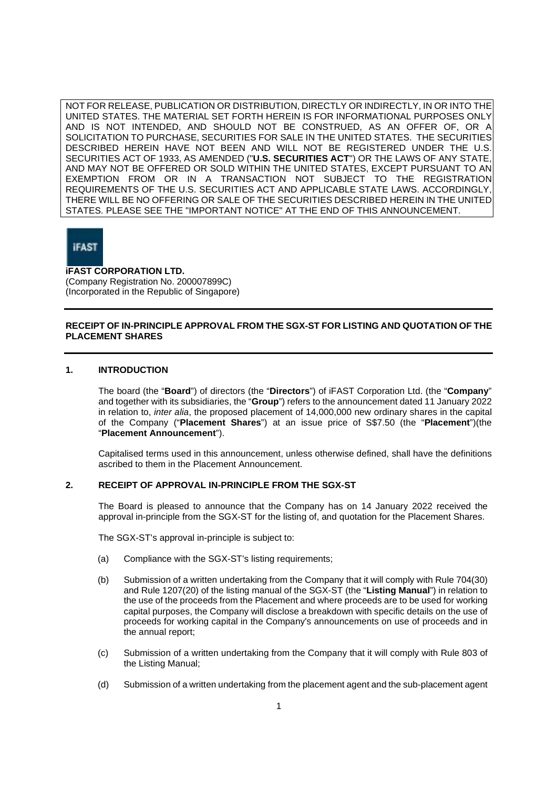NOT FOR RELEASE, PUBLICATION OR DISTRIBUTION, DIRECTLY OR INDIRECTLY, IN OR INTO THE UNITED STATES. THE MATERIAL SET FORTH HEREIN IS FOR INFORMATIONAL PURPOSES ONLY AND IS NOT INTENDED, AND SHOULD NOT BE CONSTRUED, AS AN OFFER OF, OR A SOLICITATION TO PURCHASE, SECURITIES FOR SALE IN THE UNITED STATES. THE SECURITIES DESCRIBED HEREIN HAVE NOT BEEN AND WILL NOT BE REGISTERED UNDER THE U.S. SECURITIES ACT OF 1933, AS AMENDED ("**U.S. SECURITIES ACT**") OR THE LAWS OF ANY STATE, AND MAY NOT BE OFFERED OR SOLD WITHIN THE UNITED STATES, EXCEPT PURSUANT TO AN EXEMPTION FROM OR IN A TRANSACTION NOT SUBJECT TO THE REGISTRATION REQUIREMENTS OF THE U.S. SECURITIES ACT AND APPLICABLE STATE LAWS. ACCORDINGLY, THERE WILL BE NO OFFERING OR SALE OF THE SECURITIES DESCRIBED HEREIN IN THE UNITED STATES. PLEASE SEE THE "IMPORTANT NOTICE" AT THE END OF THIS ANNOUNCEMENT.



## **iFAST CORPORATION LTD.**

(Company Registration No. 200007899C) (Incorporated in the Republic of Singapore)

# **RECEIPT OF IN-PRINCIPLE APPROVAL FROM THE SGX-ST FOR LISTING AND QUOTATION OF THE PLACEMENT SHARES**

## **1. INTRODUCTION**

The board (the "**Board**") of directors (the "**Directors**") of iFAST Corporation Ltd. (the "**Company**" and together with its subsidiaries, the "**Group**") refers to the announcement dated 11 January 2022 in relation to, *inter alia*, the proposed placement of 14,000,000 new ordinary shares in the capital of the Company ("**Placement Shares**") at an issue price of S\$7.50 (the "**Placement**")(the "**Placement Announcement**").

Capitalised terms used in this announcement, unless otherwise defined, shall have the definitions ascribed to them in the Placement Announcement.

## **2. RECEIPT OF APPROVAL IN-PRINCIPLE FROM THE SGX-ST**

The Board is pleased to announce that the Company has on 14 January 2022 received the approval in-principle from the SGX-ST for the listing of, and quotation for the Placement Shares.

The SGX-ST's approval in-principle is subject to:

- (a) Compliance with the SGX-ST's listing requirements;
- (b) Submission of a written undertaking from the Company that it will comply with Rule 704(30) and Rule 1207(20) of the listing manual of the SGX-ST (the "**Listing Manual**") in relation to the use of the proceeds from the Placement and where proceeds are to be used for working capital purposes, the Company will disclose a breakdown with specific details on the use of proceeds for working capital in the Company's announcements on use of proceeds and in the annual report;
- (c) Submission of a written undertaking from the Company that it will comply with Rule 803 of the Listing Manual;
- (d) Submission of a written undertaking from the placement agent and the sub-placement agent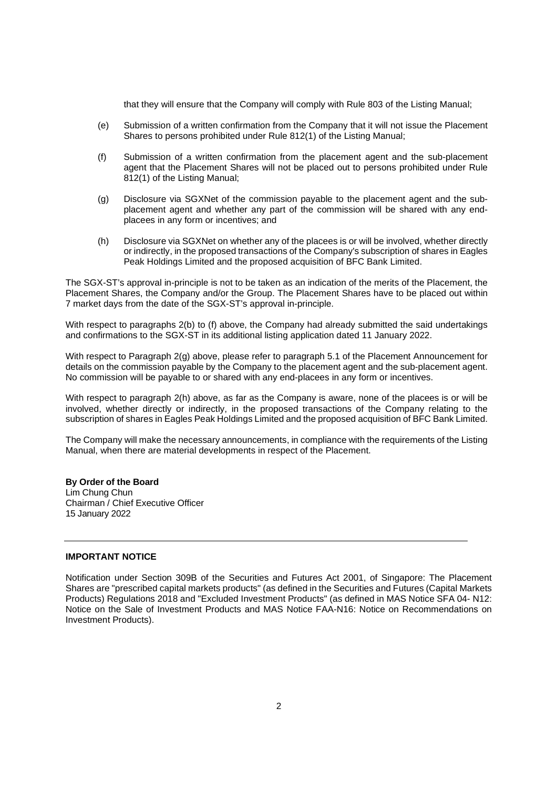that they will ensure that the Company will comply with Rule 803 of the Listing Manual;

- (e) Submission of a written confirmation from the Company that it will not issue the Placement Shares to persons prohibited under Rule 812(1) of the Listing Manual;
- (f) Submission of a written confirmation from the placement agent and the sub-placement agent that the Placement Shares will not be placed out to persons prohibited under Rule 812(1) of the Listing Manual;
- (g) Disclosure via SGXNet of the commission payable to the placement agent and the subplacement agent and whether any part of the commission will be shared with any endplacees in any form or incentives; and
- (h) Disclosure via SGXNet on whether any of the placees is or will be involved, whether directly or indirectly, in the proposed transactions of the Company's subscription of shares in Eagles Peak Holdings Limited and the proposed acquisition of BFC Bank Limited.

The SGX-ST's approval in-principle is not to be taken as an indication of the merits of the Placement, the Placement Shares, the Company and/or the Group. The Placement Shares have to be placed out within 7 market days from the date of the SGX-ST's approval in-principle.

With respect to paragraphs 2(b) to (f) above, the Company had already submitted the said undertakings and confirmations to the SGX-ST in its additional listing application dated 11 January 2022.

With respect to Paragraph 2(g) above, please refer to paragraph 5.1 of the Placement Announcement for details on the commission payable by the Company to the placement agent and the sub-placement agent. No commission will be payable to or shared with any end-placees in any form or incentives.

With respect to paragraph 2(h) above, as far as the Company is aware, none of the placees is or will be involved, whether directly or indirectly, in the proposed transactions of the Company relating to the subscription of shares in Eagles Peak Holdings Limited and the proposed acquisition of BFC Bank Limited.

The Company will make the necessary announcements, in compliance with the requirements of the Listing Manual, when there are material developments in respect of the Placement.

**By Order of the Board** Lim Chung Chun Chairman / Chief Executive Officer 15 January 2022

### **IMPORTANT NOTICE**

Notification under Section 309B of the Securities and Futures Act 2001, of Singapore: The Placement Shares are "prescribed capital markets products" (as defined in the Securities and Futures (Capital Markets Products) Regulations 2018 and "Excluded Investment Products" (as defined in MAS Notice SFA 04- N12: Notice on the Sale of Investment Products and MAS Notice FAA-N16: Notice on Recommendations on Investment Products).